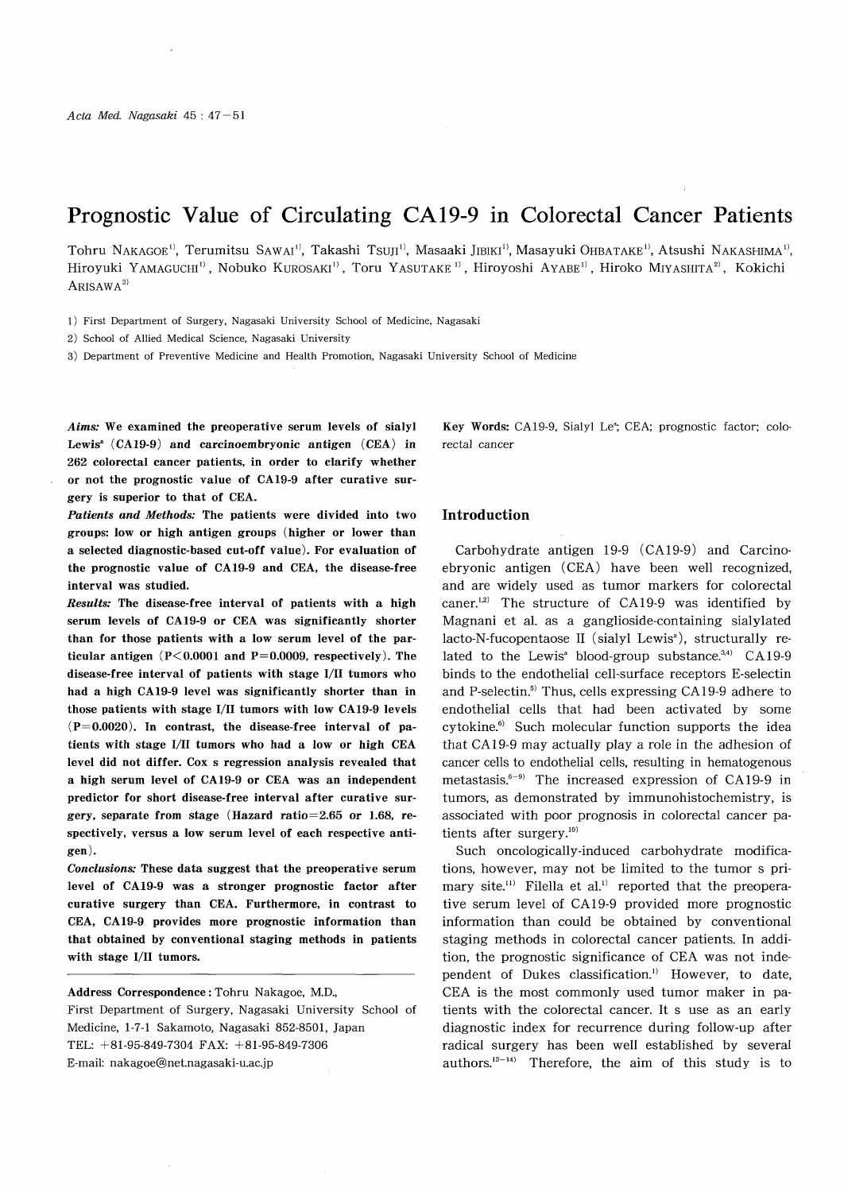# Prognostic Value of Circulating CA 19-9 in Colorectal Cancer Patients

Tohru NAKAGOE<sup>1)</sup>, Terumitsu SAWAI<sup>1</sup>, Takashi Tsuji<sup>1</sup>, Masaaki Jibiki<sup>1</sup>, Masayuki OHBATAKE<sup>1)</sup>, Atsushi NAKASHIMA<sup>1</sup>, Hiroyuki YAMAGUCHI<sup>11</sup>, Nobuko KUROSAKI<sup>11</sup>, Toru YASUTAKE<sup>11</sup>, Hiroyoshi AYABE<sup>11</sup>, Hiroko MIYASHITA<sup>21</sup>, Kokichi  $ARISAWA<sup>3</sup>$ 

1) First Department of Surgery, Nagasaki University School of Medicine, Nagasaki

2) School of Allied Medical Science, Nagasaki University

3) Department of Preventive Medicine and Health Promotion, Nagasaki University School of Medicine

Aims: We examined the preoperative serum levels of sialyl Lewis<sup>a</sup>  $(CA19-9)$  and carcinoembryonic antigen  $(CEA)$  in 262 colorectal cancer patients, in order to clarify whether or not the prognostic value of CA19-9 after curative surgery is superior to that of CEA.

Patients and Methods: The patients were divided into two groups: low or high antigen groups (higher or lower than a selected diagnostic-based cut-off value). For evaluation of the prognostic value of CA19-9 and CEA, the disease-free interval was studied.

Results: The disease-free interval of patients with a high serum levels of CA19-9 or CEA was significantly shorter than for those patients with a low serum level of the particular antigen  $(P<0.0001$  and  $P=0.0009$ , respectively). The disease-free interval of patients with stage I/II tumors who had a high CA19-9 level was significantly shorter than in those patients with stage I/II tumors with low CA19-9 levels  $(P=0.0020)$ . In contrast, the disease-free interval of patients with stage I/II tumors who had a low or high CEA level did not differ. Cox s regression analysis revealed that a high serum level of CA19-9 or CEA was an independent predictor for short disease-free interval after curative surgery, separate from stage (Hazard ratio=2.65 or 1.68, respectively, versus a low serum level of each respective antigen) .

Conclusions: These data suggest that the preoperative serum level of CA19-9 was a stronger prognostic factor after curative surgery than CEA. Furthermore, in contrast to CEA, CA19-9 provides more prognostic information than that obtained by conventional staging methods in patients with stage I/II tumors.

Address Correspondence : Tohru Nakagoe, M.D., First Department of Surgery, Nagasaki University School of Medicine, 1-7-1 Sakamoto, Nagasaki 852-8501, Japan TEL: +81-95-849-7304 FAX: +81-95-849-7306 E-mail: nakagoe@net.nagasaki-u.ac.jp

Key Words: CA19-9, Sialyl Le<sup>a</sup>; CEA; prognostic factor; colorectal cancer

## Introduction

Carbohydrate antigen 19-9 (CA19-9) and Carcinoebryonic antigen (CEA) have been well recognized, and are widely used as tumor markers for colorectal caner. $12)$  The structure of CA19-9 was identified by Magnani et al. as a ganglioside-containing sialylated lacto-N-fucopentaose II (sialyl Lewis<sup>a</sup>), structurally related to the Lewis<sup>a</sup> blood-group substance.<sup>3,4)</sup> CA 19-9 binds to the endothelial cell-surface receptors E-selectin and P-selectin.<sup>5)</sup> Thus, cells expressing CA19-9 adhere to endothelial cells that had been activated by some cytokine.<sup>6)</sup> Such molecular function supports the idea that CA 19-9 may actually play a role in the adhesion of cancer cells to endothelial cells, resulting in hematogenous metastasis. $6-9$  The increased expression of CA19-9 in tumors, as demonstrated by immunohistochemistry, is associated with poor prognosis in colorectal cancer patients after surgery.<sup>10)</sup>

Such oncologically-induced carbohydrate modifications, however, may not be limited to the tumor s primary site.<sup>11)</sup> Filella et al.<sup>1)</sup> reported that the preoperative serum level of CA 19-9 provided more prognostic information than could be obtained by conventional staging methods in colorectal cancer patients. In addition, the prognostic significance of CEA was not independent of Dukes classification.') However, to date, CEA is the most commonly used tumor maker in patients with the colorectal cancer. It s use as an early diagnostic index for recurrence during follow-up after radical surgery has been well established by several authors. $12-14$  Therefore, the aim of this study is to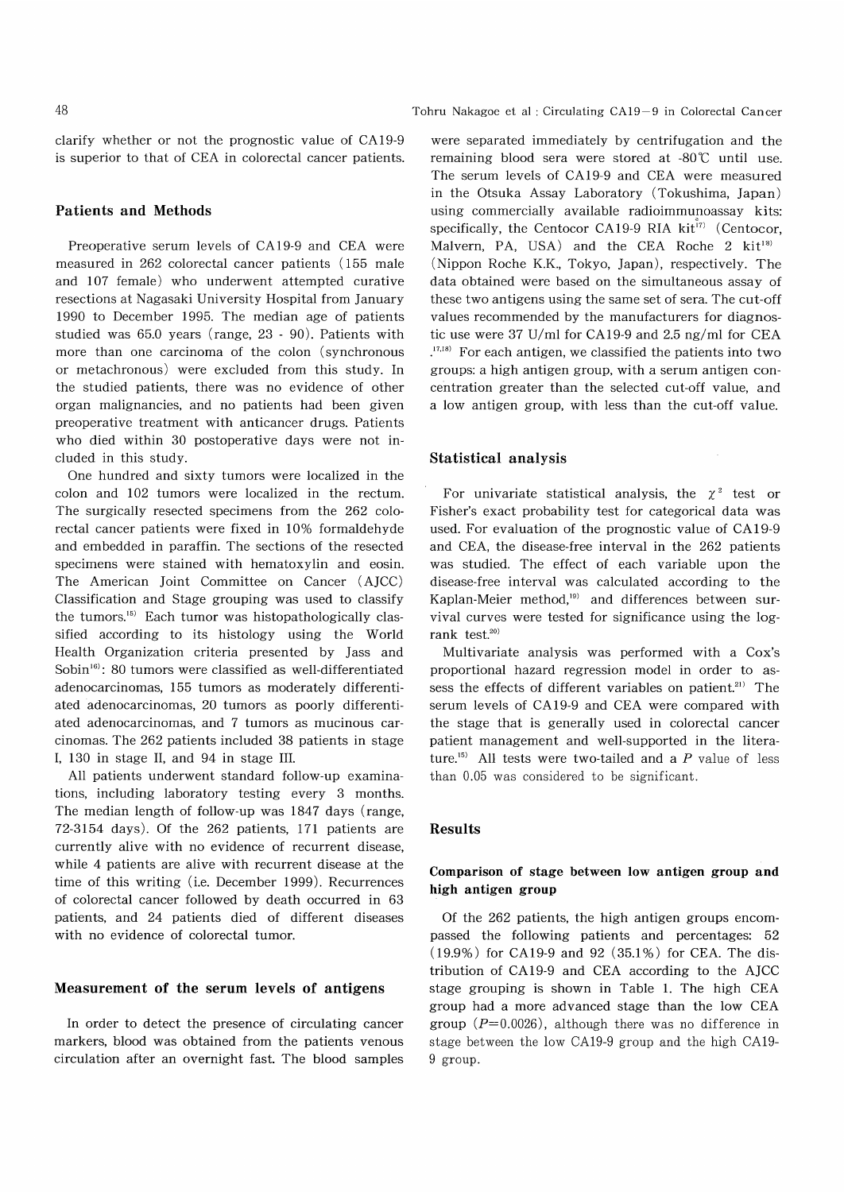clarify whether or not the prognostic value of CA19-9 is superior to that of CEA in colorectal cancer patients.

# Patients and Methods

Preoperative serum levels of CA19-9 and CEA were measured in 262 colorectal cancer patients (155 male and 107 female) who underwent attempted curative resections at Nagasaki University Hospital from January 1990 to December 1995. The median age of patients studied was 65.0 years (range, 23 - 90). Patients with more than one carcinoma of the colon (synchronous or metachronous) were excluded from this study. In the studied patients, there was no evidence of other organ malignancies, and no patients had been given preoperative treatment with anticancer drugs. Patients who died within 30 postoperative days were not included in this study.

One hundred and sixty tumors were localized in the colon and 102 tumors were localized in the rectum. The surgically resected specimens from the 262 colorectal cancer patients were fixed in 10% formaldehyde and embedded in paraffin. The sections of the resected specimens were stained with hematoxylin and eosin. The American Joint Committee on Cancer (AJCC) Classification and Stage grouping was used to classify the tumors. $15$  Each tumor was histopathologically classified according to its histology using the World Health Organization criteria presented by Jass and Sobin<sup>16)</sup>: 80 tumors were classified as well-differentiated adenocarcinomas, 155 tumors as moderately differentiated adenocarcinomas, 20 tumors as poorly differentiated adenocarcinomas, and 7 tumors as mucinous carcinomas. The 262 patients included 38 patients in stage I, 130 in stage II, and 94 in stage III.

All patients underwent standard follow-up examinations, including laboratory testing every 3 months. The median length of follow-up was 1847 days (range, 72-3154 days). Of the 262 patients, 171 patients are currently alive with no evidence of recurrent disease, while 4 patients are alive with recurrent disease at the time of this writing (i.e. December 1999). Recurrences of colorectal cancer followed by death occurred in 63 patients, and 24 patients died of different diseases with no evidence of colorectal tumor.

## Measurement of the serum levels of antigens

In order to detect the presence of circulating cancer markers, blood was obtained from the patients venous circulation after an overnight fast. The blood samples

were separated immediately by centrifugation and the remaining blood sera were stored at  $-80^{\circ}$  until use. The serum levels of CA19-9 and CEA were measured in the Otsuka Assay Laboratory (Tokushima, Japan) using commercially available radioimmunoassay kits: specifically, the Centocor CA19-9 RIA kit<sup>17)</sup> (Centocor, Malvern, PA, USA) and the CEA Roche 2 kit<sup>18)</sup> (Nippon Roche K.K., Tokyo, Japan), respectively. The data obtained were based on the simultaneous assay of these two antigens using the same set of sera. The cut-off values recommended by the manufacturers for diagnostic use were 37 U/ml for CA 19-9 and 2.5 ng/ml for CEA <sup>17,18)</sup> For each antigen, we classified the patients into two groups: a high antigen group, with a serum antigen concentration greater than the selected cut-off value, and a low antigen group, with less than the cut-off value.

# Statistical analysis

For univariate statistical analysis, the  $\chi^2$  test or Fisher's exact probability test for categorical data was used. For evaluation of the prognostic value of CA 19-9 and CEA, the disease-free interval in the 262 patients was studied. The effect of each variable upon the disease-free interval was calculated according to the Kaplan-Meier method,<sup>19)</sup> and differences between survival curves were tested for significance using the logrank test.20)

Multivariate analysis was performed with a Cox's proportional hazard regression model in order to assess the effects of different variables on patient.<sup>21)</sup> The serum levels of CA19-9 and CEA were compared with the stage that is generally used in colorectal cancer patient management and well-supported in the literature.<sup>15)</sup> All tests were two-tailed and a  $P$  value of less than 0.05 was considered to be significant.

### Results

# Comparison of stage between low antigen group and high antigen group

Of the 262 patients, the high antigen groups encompassed the following patients and percentages: 52 (19.9%) for CA 19-9 and 92 (35.1%) for CEA. The distribution of CA19-9 and CEA according to the AJCC stage grouping is shown in Table 1. The high CEA group had a more advanced stage than the low CEA group  $(P=0.0026)$ , although there was no difference in stage between the low CA19-9 group and the high CA19- 9 group.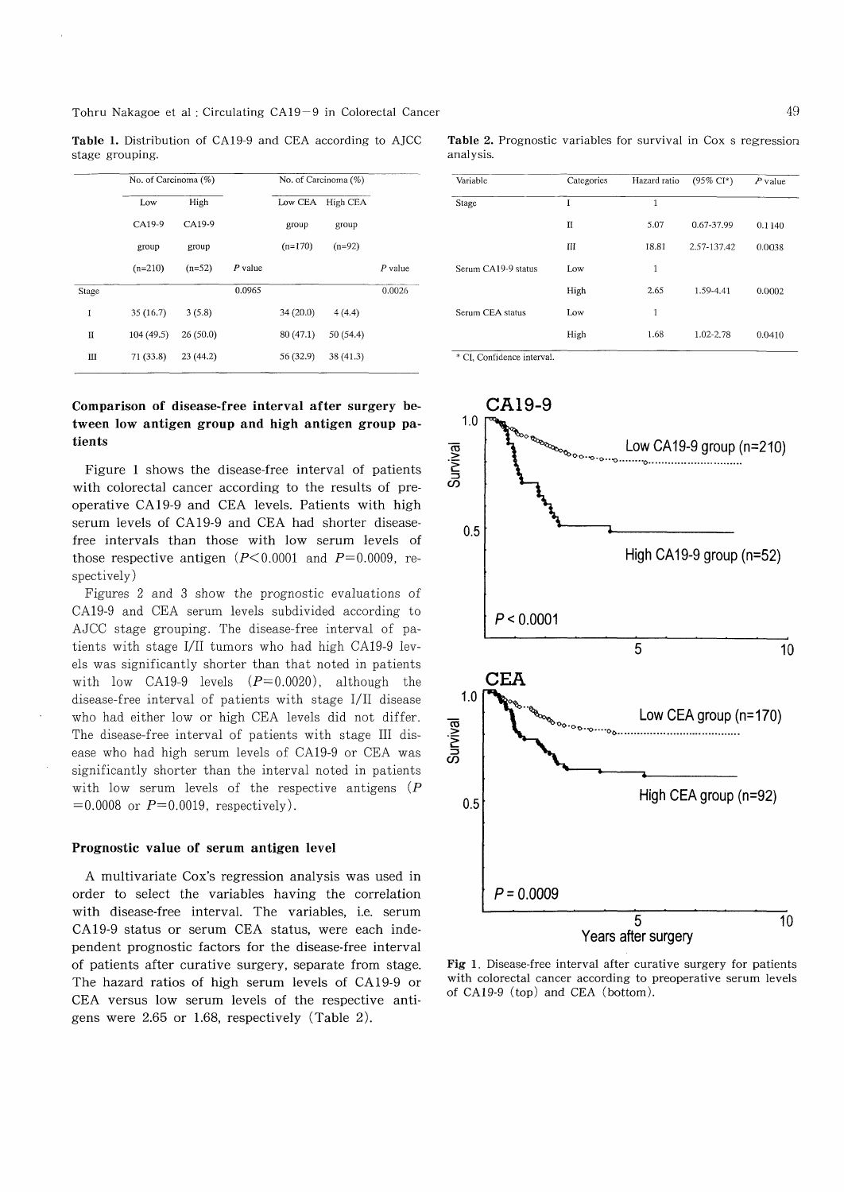Tohru Nakagoe et al : Circulating CA19-9 in Colorectal Cancer

Table 1. Distribution of CA19-9 and CEA according to AJCC stage grouping.

| No. of Carcinoma (%) |          |           | No. of Carcinoma (%) |           |           |
|----------------------|----------|-----------|----------------------|-----------|-----------|
| Low                  | High     |           |                      | High CEA  |           |
| CA19-9               | CA19-9   |           | group                | group     |           |
| group                | group    |           | $(n=170)$            | $(n=92)$  |           |
| $(n=210)$            | $(n=52)$ | $P$ value |                      |           | $P$ value |
|                      |          | 0.0965    |                      |           | 0.0026    |
| 35(16.7)             | 3(5.8)   |           | 34(20.0)             | 4(4.4)    |           |
| 104(49.5)            | 26(50.0) |           | 80(47.1)             | 50 (54.4) |           |
| 71 (33.8)            | 23(44.2) |           | 56 (32.9)            | 38(41.3)  |           |
|                      |          |           |                      |           | Low CEA   |

Comparison of disease-free interval after surgery be-

# tween low antigen group and high antigen group patients

Figure 1 shows the disease-free interval of patients with colorectal cancer according to the results of preoperative CA 19-9 and CEA levels. Patients with high serum levels of CA19-9 and CEA had shorter diseasefree intervals than those with low serum levels of those respective antigen  $(P<0.0001$  and  $P=0.0009$ , respectively)

Figures 2 and 3 show the prognostic evaluations of CA19-9 and CEA serum levels subdivided according to AJCC stage grouping. The disease-free interval of patients with stage I/II tumors who had high CA19-9 levels was significantly shorter than that noted in patients with low CA19-9 levels  $(P=0.0020)$ , although the disease-free interval of patients with stage I/II disease who had either low or high CEA levels did not differ. The disease-free interval of patients with stage III disease who had high serum levels of CA19-9 or CEA was significantly shorter than the interval noted in patients with low serum levels of the respective antigens  $(P)$  $=0.0008$  or  $P=0.0019$ , respectively).

### Prognostic value of serum antigen level

A multivariate Cox's regression analysis was used in order to select the variables having the correlation with disease-free interval. The variables, i.e. serum CA 19-9 status or serum CEA status, were each independent prognostic factors for the disease-free interval of patients after curative surgery, separate from stage. The hazard ratios of high serum levels of CA 19-9 or CEA versus low serum levels of the respective antigens were 2.65 or 1.68, respectively (Table 2).

Table 2. Prognostic variables for survival in Cox s regression analysis.

| Variable            | Categories | Hazard ratio | $(95\% \text{ CI*})$ | $P$ value |
|---------------------|------------|--------------|----------------------|-----------|
| Stage               | I          | 1            |                      |           |
|                     | II         | 5.07         | 0.67-37.99           | 0.1140    |
|                     | Ш          | 18.81        | 2.57-137.42          | 0.0038    |
| Serum CA19-9 status | Low        | 1            |                      |           |
|                     | High       | 2.65         | 1.59-4.41            | 0.0002    |
| Serum CEA status    | Low        | 1            |                      |           |
|                     | High       | 1.68         | 1.02-2.78            | 0.0410    |

\* CI, Confidence interva



Fig 1. Disease-free interval after curative surgery for patients with colorectal cancer according to preoperative serum levels of CA19-9 (top) and CEA (bottom).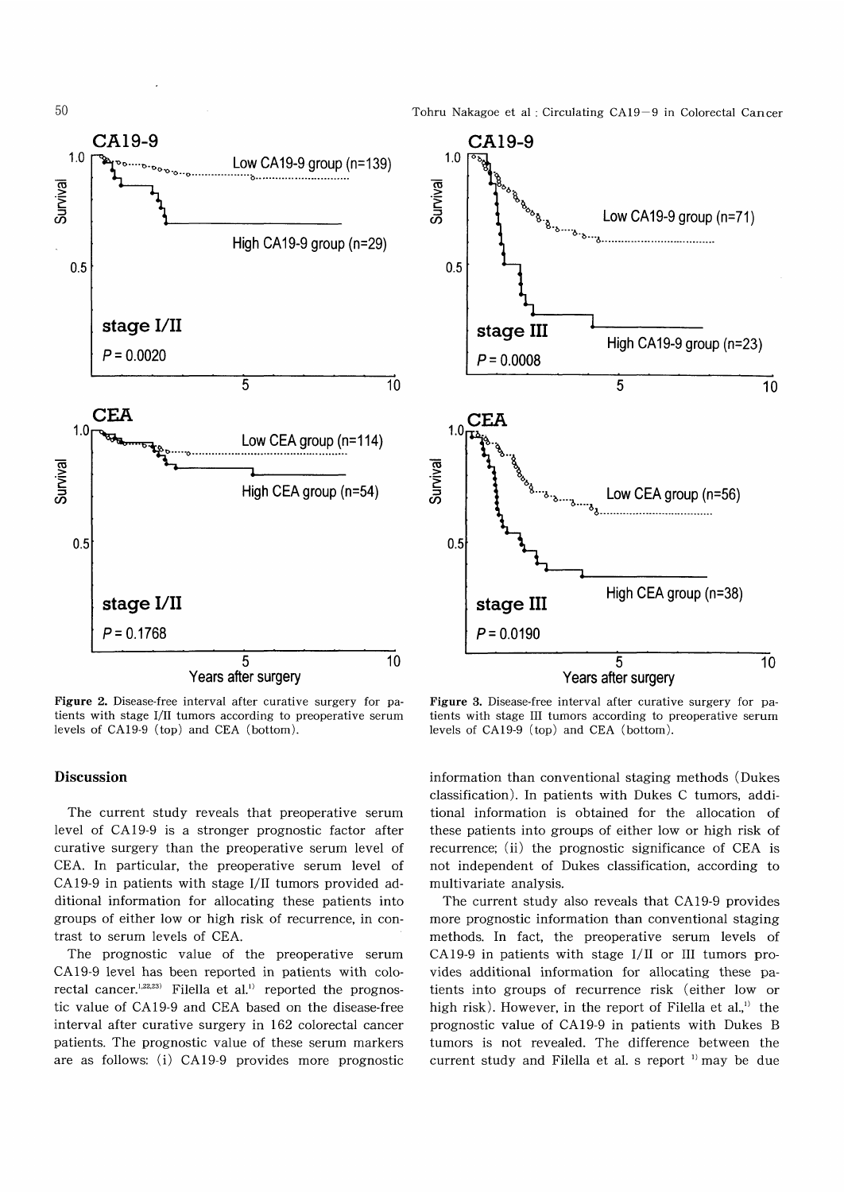



Figure 2. Disease-free interval after curative surgery for patients with stage I/II tumors according to preoperative serum levels of CA19-9 (top) and CEA (bottom).

Figure 3. Disease-free interval after curative surgery for patients with stage III tumors according to preoperative serum levels of CA19-9 (top) and CEA (bottom).

# Discussion

The current study reveals that preoperative serum level of CA19-9 is a stronger prognostic factor after curative surgery than the preoperative serum level of CEA. In particular, the preoperative serum level of CA 19-9 in patients with stage I/II tumors provided additional information for allocating these patients into groups of either low or high risk of recurrence, in contrast to serum levels of CEA.

The prognostic value of the preoperative serum CA 19-9 level has been reported in patients with colorectal cancer.<sup>1,22,23)</sup> Filella et al.<sup>1)</sup> reported the prognostic value of CA19-9 and CEA based on the disease-free interval after curative surgery in 162 colorectal cancer patients. The prognostic value of these serum markers are as follows: (i) CA 19-9 provides more prognostic information than conventional staging methods (Dukes classification). In patients with Dukes C tumors, additional information is obtained for the allocation of these patients into groups of either low or high risk of recurrence; (ii) the prognostic significance of CEA is not independent of Dukes classification, according to multivariate analysis.

The current study also reveals that CA19-9 provides more prognostic information than conventional staging methods. In fact, the preoperative serum levels of CA 19-9 in patients with stage 1/11 or III tumors provides additional information for allocating these patients into groups of recurrence risk (either low or high risk). However, in the report of Filella et al.,<sup>1)</sup> the prognostic value of CA 19-9 in patients with Dukes B tumors is not revealed. The difference between the current study and Filella et al. s report ') may be due